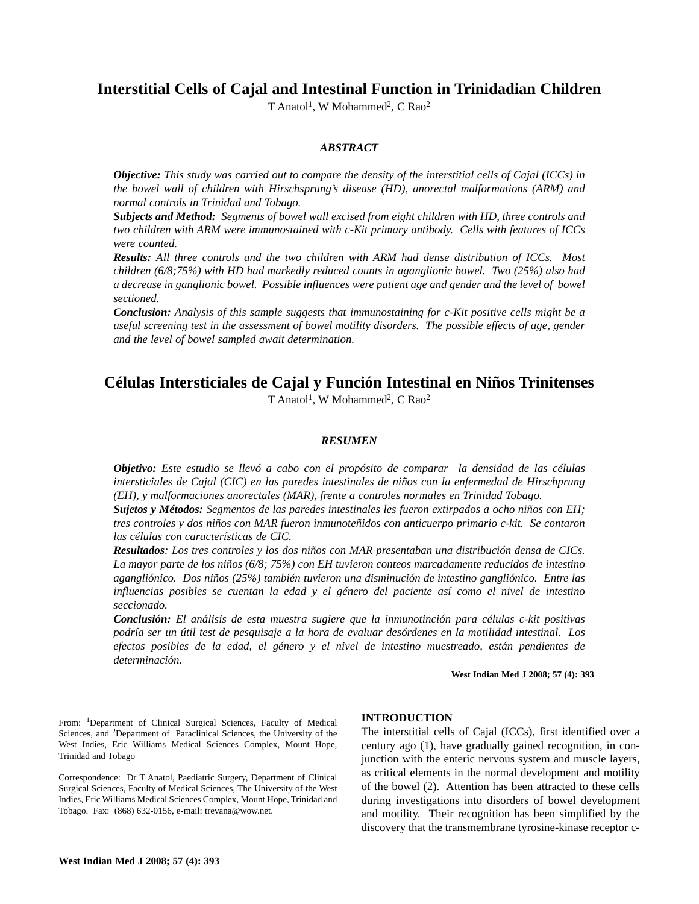# **Interstitial Cells of Cajal and Intestinal Function in Trinidadian Children**

T Anatol<sup>1</sup>, W Mohammed<sup>2</sup>, C Rao<sup>2</sup>

## *ABSTRACT*

*Objective: This study was carried out to compare the density of the interstitial cells of Cajal (ICCs) in the bowel wall of children with Hirschsprung's disease (HD), anorectal malformations (ARM) and normal controls in Trinidad and Tobago.*

*Subjects and Method: Segments of bowel wall excised from eight children with HD, three controls and two children with ARM were immunostained with c-Kit primary antibody. Cells with features of ICCs were counted.*

*Results: All three controls and the two children with ARM had dense distribution of ICCs. Most children (6/8;75%) with HD had markedly reduced counts in aganglionic bowel. Two (25%) also had a decrease in ganglionic bowel. Possible influences were patient age and gender and the level of bowel sectioned.*

*Conclusion: Analysis of this sample suggests that immunostaining for c-Kit positive cells might be a useful screening test in the assessment of bowel motility disorders. The possible effects of age, gender and the level of bowel sampled await determination.*

## **Células Intersticiales de Cajal y Función Intestinal en Niños Trinitenses** T Anatol<sup>1</sup>, W Mohammed<sup>2</sup>, C Rao<sup>2</sup>

#### *RESUMEN*

*Objetivo: Este estudio se llevó a cabo con el propósito de comparar la densidad de las células intersticiales de Cajal (CIC) en las paredes intestinales de niños con la enfermedad de Hirschprung (EH), y malformaciones anorectales (MAR), frente a controles normales en Trinidad Tobago.* 

*Sujetos y Métodos: Segmentos de las paredes intestinales les fueron extirpados a ocho niños con EH; tres controles y dos niños con MAR fueron inmunoteñidos con anticuerpo primario c-kit. Se contaron las células con características de CIC.* 

*Resultados: Los tres controles y los dos niños con MAR presentaban una distribución densa de CICs. La mayor parte de los niños (6/8; 75%) con EH tuvieron conteos marcadamente reducidos de intestino agangliónico. Dos niños (25%) también tuvieron una disminución de intestino gangliónico. Entre las influencias posibles se cuentan la edad y el género del paciente así como el nivel de intestino seccionado.* 

*Conclusión: El análisis de esta muestra sugiere que la inmunotinción para células c-kit positivas podría ser un útil test de pesquisaje a la hora de evaluar desórdenes en la motilidad intestinal. Los efectos posibles de la edad, el género y el nivel de intestino muestreado, están pendientes de determinación.*

**West Indian Med J 2008; 57 (4): 393**

#### **INTRODUCTION**

The interstitial cells of Cajal (ICCs), first identified over a century ago (1), have gradually gained recognition, in conjunction with the enteric nervous system and muscle layers, as critical elements in the normal development and motility of the bowel (2). Attention has been attracted to these cells during investigations into disorders of bowel development and motility. Their recognition has been simplified by the discovery that the transmembrane tyrosine-kinase receptor c-

From: 1Department of Clinical Surgical Sciences, Faculty of Medical Sciences, and <sup>2</sup>Department of Paraclinical Sciences, the University of the West Indies, Eric Williams Medical Sciences Complex, Mount Hope, Trinidad and Tobago

Correspondence: Dr T Anatol, Paediatric Surgery, Department of Clinical Surgical Sciences, Faculty of Medical Sciences, The University of the West Indies, Eric Williams Medical Sciences Complex, Mount Hope, Trinidad and Tobago. Fax: (868) 632-0156, e-mail: trevana@wow.net.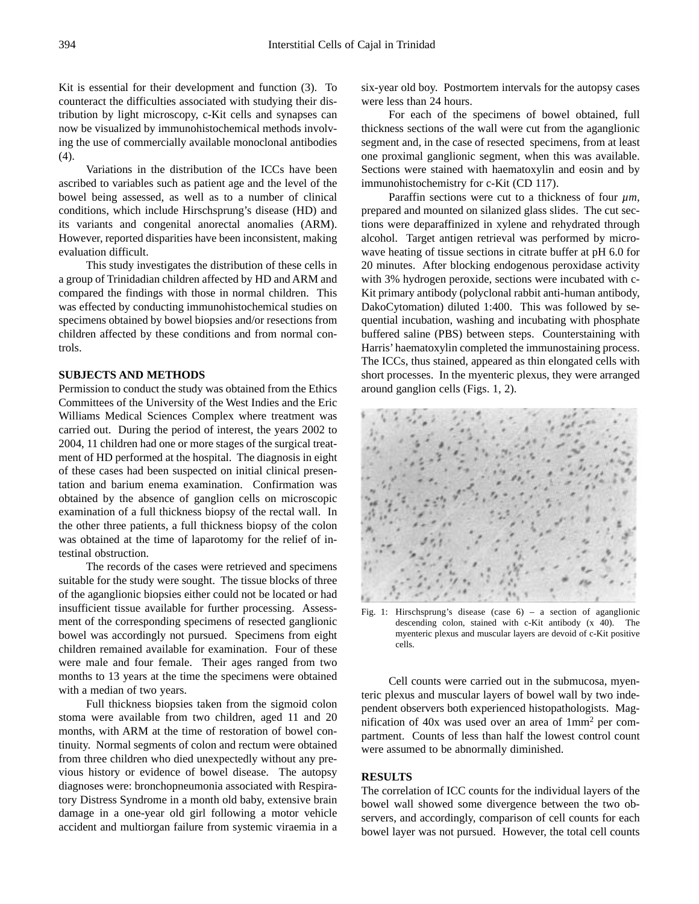Kit is essential for their development and function (3). To counteract the difficulties associated with studying their distribution by light microscopy, c-Kit cells and synapses can now be visualized by immunohistochemical methods involving the use of commercially available monoclonal antibodies (4).

Variations in the distribution of the ICCs have been ascribed to variables such as patient age and the level of the bowel being assessed, as well as to a number of clinical conditions, which include Hirschsprung's disease (HD) and its variants and congenital anorectal anomalies (ARM). However, reported disparities have been inconsistent, making evaluation difficult.

This study investigates the distribution of these cells in a group of Trinidadian children affected by HD and ARM and compared the findings with those in normal children. This was effected by conducting immunohistochemical studies on specimens obtained by bowel biopsies and/or resections from children affected by these conditions and from normal controls.

## **SUBJECTS AND METHODS**

Permission to conduct the study was obtained from the Ethics Committees of the University of the West Indies and the Eric Williams Medical Sciences Complex where treatment was carried out. During the period of interest, the years 2002 to 2004, 11 children had one or more stages of the surgical treatment of HD performed at the hospital. The diagnosis in eight of these cases had been suspected on initial clinical presentation and barium enema examination. Confirmation was obtained by the absence of ganglion cells on microscopic examination of a full thickness biopsy of the rectal wall. In the other three patients, a full thickness biopsy of the colon was obtained at the time of laparotomy for the relief of intestinal obstruction.

The records of the cases were retrieved and specimens suitable for the study were sought. The tissue blocks of three of the aganglionic biopsies either could not be located or had insufficient tissue available for further processing. Assessment of the corresponding specimens of resected ganglionic bowel was accordingly not pursued. Specimens from eight children remained available for examination. Four of these were male and four female. Their ages ranged from two months to 13 years at the time the specimens were obtained with a median of two years.

Full thickness biopsies taken from the sigmoid colon stoma were available from two children, aged 11 and 20 months, with ARM at the time of restoration of bowel continuity. Normal segments of colon and rectum were obtained from three children who died unexpectedly without any previous history or evidence of bowel disease. The autopsy diagnoses were: bronchopneumonia associated with Respiratory Distress Syndrome in a month old baby, extensive brain damage in a one-year old girl following a motor vehicle accident and multiorgan failure from systemic viraemia in a

six-year old boy. Postmortem intervals for the autopsy cases were less than 24 hours.

For each of the specimens of bowel obtained, full thickness sections of the wall were cut from the aganglionic segment and, in the case of resected specimens, from at least one proximal ganglionic segment, when this was available. Sections were stained with haematoxylin and eosin and by immunohistochemistry for c-Kit (CD 117).

Paraffin sections were cut to a thickness of four  $\mu$ m, prepared and mounted on silanized glass slides. The cut sections were deparaffinized in xylene and rehydrated through alcohol. Target antigen retrieval was performed by microwave heating of tissue sections in citrate buffer at pH 6.0 for 20 minutes. After blocking endogenous peroxidase activity with 3% hydrogen peroxide, sections were incubated with c-Kit primary antibody (polyclonal rabbit anti-human antibody, DakoCytomation) diluted 1:400. This was followed by sequential incubation, washing and incubating with phosphate buffered saline (PBS) between steps. Counterstaining with Harris' haematoxylin completed the immunostaining process. The ICCs, thus stained, appeared as thin elongated cells with short processes. In the myenteric plexus, they were arranged around ganglion cells (Figs. 1, 2).



Fig. 1: Hirschsprung's disease (case 6) – a section of aganglionic descending colon, stained with c-Kit antibody (x 40). The myenteric plexus and muscular layers are devoid of c-Kit positive cells.

Cell counts were carried out in the submucosa, myenteric plexus and muscular layers of bowel wall by two independent observers both experienced histopathologists. Magnification of 40x was used over an area of 1mm2 per compartment. Counts of less than half the lowest control count were assumed to be abnormally diminished.

### **RESULTS**

The correlation of ICC counts for the individual layers of the bowel wall showed some divergence between the two observers, and accordingly, comparison of cell counts for each bowel layer was not pursued. However, the total cell counts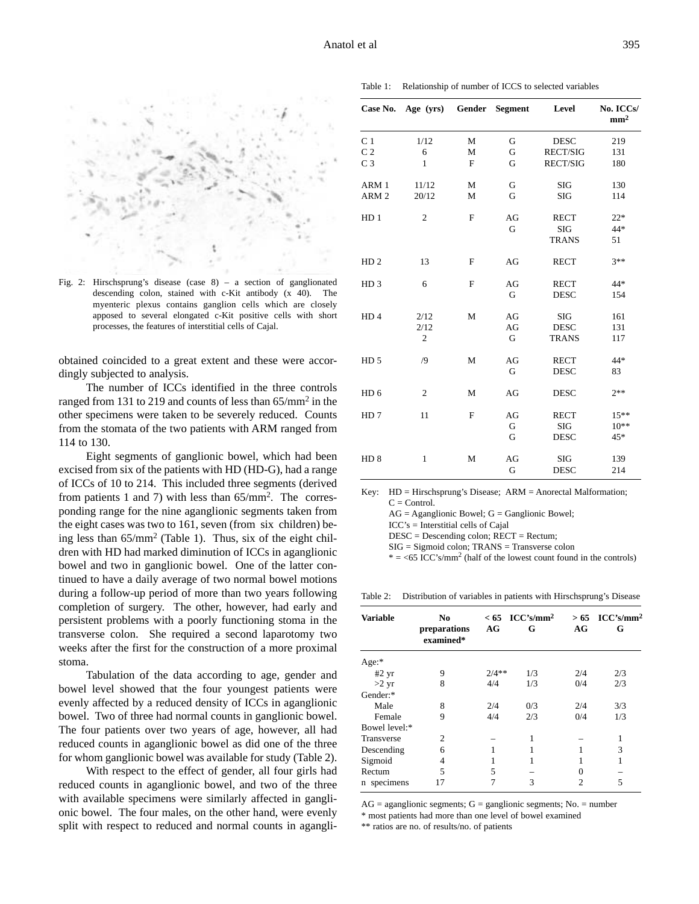

Fig. 2: Hirschsprung's disease (case 8) – a section of ganglionated descending colon, stained with c-Kit antibody (x 40). The myenteric plexus contains ganglion cells which are closely apposed to several elongated c-Kit positive cells with short processes, the features of interstitial cells of Cajal.

obtained coincided to a great extent and these were accordingly subjected to analysis.

The number of ICCs identified in the three controls ranged from 131 to 219 and counts of less than  $65/\text{mm}^2$  in the other specimens were taken to be severely reduced. Counts from the stomata of the two patients with ARM ranged from 114 to 130.

Eight segments of ganglionic bowel, which had been excised from six of the patients with HD (HD-G), had a range of ICCs of 10 to 214. This included three segments (derived from patients 1 and 7) with less than 65/mm2. The corresponding range for the nine aganglionic segments taken from the eight cases was two to 161, seven (from six children) being less than 65/mm2 (Table 1). Thus, six of the eight children with HD had marked diminution of ICCs in aganglionic bowel and two in ganglionic bowel. One of the latter continued to have a daily average of two normal bowel motions during a follow-up period of more than two years following completion of surgery. The other, however, had early and persistent problems with a poorly functioning stoma in the transverse colon. She required a second laparotomy two weeks after the first for the construction of a more proximal stoma.

Tabulation of the data according to age, gender and bowel level showed that the four youngest patients were evenly affected by a reduced density of ICCs in aganglionic bowel. Two of three had normal counts in ganglionic bowel. The four patients over two years of age, however, all had reduced counts in aganglionic bowel as did one of the three for whom ganglionic bowel was available for study (Table 2).

With respect to the effect of gender, all four girls had reduced counts in aganglionic bowel, and two of the three with available specimens were similarly affected in ganglionic bowel. The four males, on the other hand, were evenly split with respect to reduced and normal counts in agangli-

|                  | Case No. Age (yrs) Gender Segment |             |    | Level        | No. ICCs/<br>mm <sup>2</sup> |
|------------------|-----------------------------------|-------------|----|--------------|------------------------------|
| C <sub>1</sub>   | 1/12                              | М           | G  | <b>DESC</b>  | 219                          |
| C <sub>2</sub>   | 6                                 | M           | G  | RECT/SIG     | 131                          |
| C <sub>3</sub>   | $\mathbf{1}$                      | F           | G  | RECT/SIG     | 180                          |
| ARM 1            | 11/12                             | M           | G  | <b>SIG</b>   | 130                          |
| ARM <sub>2</sub> | 20/12                             | M           | G  | <b>SIG</b>   | 114                          |
| HD <sub>1</sub>  | $\overline{c}$                    | F           | AG | <b>RECT</b>  | $22*$                        |
|                  |                                   |             | G  | <b>SIG</b>   | 44*                          |
|                  |                                   |             |    | <b>TRANS</b> | 51                           |
| HD <sub>2</sub>  | 13                                | F           | AG | <b>RECT</b>  | $3**$                        |
| HD <sub>3</sub>  | 6                                 | F           | AG | <b>RECT</b>  | 44*                          |
|                  |                                   |             | G  | <b>DESC</b>  | 154                          |
| HD <sub>4</sub>  | 2/12                              | M           | AG | SIG          | 161                          |
|                  | 2/12                              |             | AG | <b>DESC</b>  | 131                          |
|                  | $\mathfrak{2}$                    |             | G  | <b>TRANS</b> | 117                          |
| HD <sub>5</sub>  | /9                                | M           | AG | <b>RECT</b>  | 44*                          |
|                  |                                   |             | G  | <b>DESC</b>  | 83                           |
| HD <sub>6</sub>  | $\mathfrak{2}$                    | M           | AG | <b>DESC</b>  | $2**$                        |
| HD <sub>7</sub>  | 11                                | $\mathbf F$ | AG | <b>RECT</b>  | $15***$                      |
|                  |                                   |             | G  | <b>SIG</b>   | $10**$                       |
|                  |                                   |             | G  | <b>DESC</b>  | $45*$                        |
| HD <sub>8</sub>  | $\mathbf{1}$                      | M           | AG | <b>SIG</b>   | 139                          |
|                  |                                   |             | G  | <b>DESC</b>  | 214                          |

Key: HD = Hirschsprung's Disease; ARM = Anorectal Malformation;  $C = Control$ .

 $AG = Aganglionic Bowel; G = Ganglionic Bowel;$ 

ICC's = Interstitial cells of Cajal

DESC = Descending colon; RECT = Rectum;

SIG = Sigmoid colon; TRANS = Transverse colon

 $* = <65$  ICC's/mm<sup>2</sup> (half of the lowest count found in the controls)

Table 2: Distribution of variables in patients with Hirschsprung's Disease

| <b>Variable</b> | N <sub>0</sub><br>preparations<br>examined* | AG      | $< 65 \text{~ICC's/mm}^2$<br>G | AG             | $> 65$ ICC's/mm <sup>2</sup><br>G |
|-----------------|---------------------------------------------|---------|--------------------------------|----------------|-----------------------------------|
| Age:            |                                             |         |                                |                |                                   |
| $#2$ yr         | 9                                           | $2/4**$ | 1/3                            | 2/4            | 2/3                               |
| $>2 \text{ yr}$ | 8                                           | 4/4     | 1/3                            | 0/4            | 2/3                               |
| Gender:*        |                                             |         |                                |                |                                   |
| Male            | 8                                           | 2/4     | 0/3                            | 2/4            | 3/3                               |
| Female          | 9                                           | 4/4     | 2/3                            | 0/4            | 1/3                               |
| Bowel level:*   |                                             |         |                                |                |                                   |
| Transverse      | C                                           |         |                                |                | 1                                 |
| Descending      | 6                                           |         |                                |                | 3                                 |
| Sigmoid         | 4                                           |         |                                |                | 1                                 |
| Rectum          | 5                                           | 5       |                                | 0              |                                   |
| n specimens     | 17                                          |         | 3                              | $\mathfrak{D}$ | 5                                 |

 $AG =$  aganglionic segments;  $G =$  ganglionic segments; No. = number

\* most patients had more than one level of bowel examined \*\* ratios are no. of results/no. of patients

Table 1: Relationship of number of ICCS to selected variables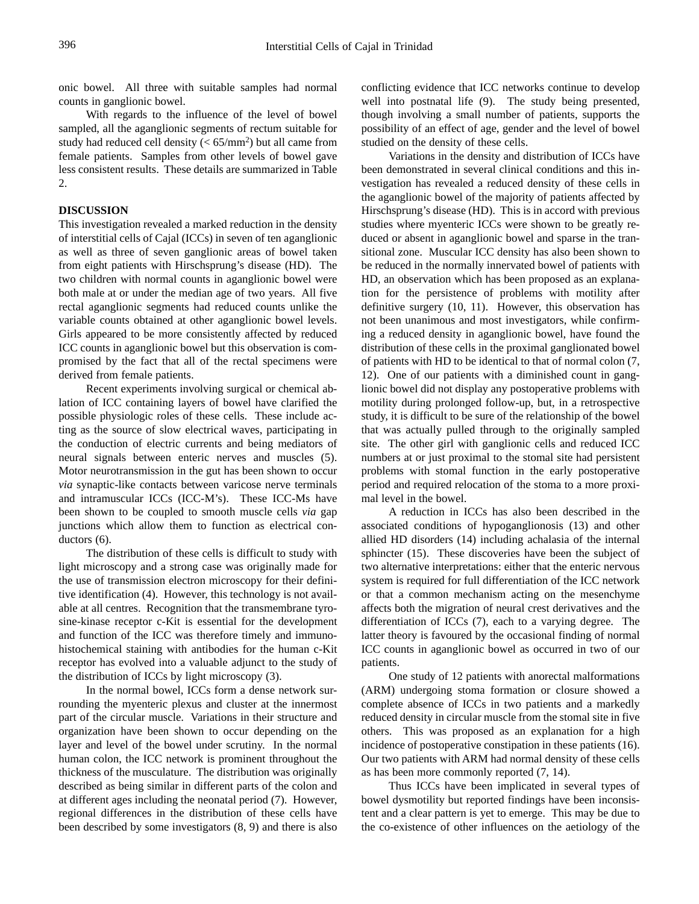onic bowel. All three with suitable samples had normal counts in ganglionic bowel.

With regards to the influence of the level of bowel sampled, all the aganglionic segments of rectum suitable for study had reduced cell density ( $< 65/mm^2$ ) but all came from female patients. Samples from other levels of bowel gave less consistent results. These details are summarized in Table 2.

## **DISCUSSION**

This investigation revealed a marked reduction in the density of interstitial cells of Cajal (ICCs) in seven of ten aganglionic as well as three of seven ganglionic areas of bowel taken from eight patients with Hirschsprung's disease (HD). The two children with normal counts in aganglionic bowel were both male at or under the median age of two years. All five rectal aganglionic segments had reduced counts unlike the variable counts obtained at other aganglionic bowel levels. Girls appeared to be more consistently affected by reduced ICC counts in aganglionic bowel but this observation is compromised by the fact that all of the rectal specimens were derived from female patients.

Recent experiments involving surgical or chemical ablation of ICC containing layers of bowel have clarified the possible physiologic roles of these cells. These include acting as the source of slow electrical waves, participating in the conduction of electric currents and being mediators of neural signals between enteric nerves and muscles (5). Motor neurotransmission in the gut has been shown to occur *via* synaptic-like contacts between varicose nerve terminals and intramuscular ICCs (ICC-M's). These ICC-Ms have been shown to be coupled to smooth muscle cells *via* gap junctions which allow them to function as electrical conductors (6).

The distribution of these cells is difficult to study with light microscopy and a strong case was originally made for the use of transmission electron microscopy for their definitive identification (4). However, this technology is not available at all centres. Recognition that the transmembrane tyrosine-kinase receptor c-Kit is essential for the development and function of the ICC was therefore timely and immunohistochemical staining with antibodies for the human c-Kit receptor has evolved into a valuable adjunct to the study of the distribution of ICCs by light microscopy (3).

In the normal bowel, ICCs form a dense network surrounding the myenteric plexus and cluster at the innermost part of the circular muscle. Variations in their structure and organization have been shown to occur depending on the layer and level of the bowel under scrutiny. In the normal human colon, the ICC network is prominent throughout the thickness of the musculature. The distribution was originally described as being similar in different parts of the colon and at different ages including the neonatal period (7). However, regional differences in the distribution of these cells have been described by some investigators (8, 9) and there is also conflicting evidence that ICC networks continue to develop well into postnatal life (9). The study being presented, though involving a small number of patients, supports the possibility of an effect of age, gender and the level of bowel studied on the density of these cells.

Variations in the density and distribution of ICCs have been demonstrated in several clinical conditions and this investigation has revealed a reduced density of these cells in the aganglionic bowel of the majority of patients affected by Hirschsprung's disease (HD). This is in accord with previous studies where myenteric ICCs were shown to be greatly reduced or absent in aganglionic bowel and sparse in the transitional zone. Muscular ICC density has also been shown to be reduced in the normally innervated bowel of patients with HD, an observation which has been proposed as an explanation for the persistence of problems with motility after definitive surgery (10, 11). However, this observation has not been unanimous and most investigators, while confirming a reduced density in aganglionic bowel, have found the distribution of these cells in the proximal ganglionated bowel of patients with HD to be identical to that of normal colon (7, 12). One of our patients with a diminished count in ganglionic bowel did not display any postoperative problems with motility during prolonged follow-up, but, in a retrospective study, it is difficult to be sure of the relationship of the bowel that was actually pulled through to the originally sampled site. The other girl with ganglionic cells and reduced ICC numbers at or just proximal to the stomal site had persistent problems with stomal function in the early postoperative period and required relocation of the stoma to a more proximal level in the bowel.

A reduction in ICCs has also been described in the associated conditions of hypoganglionosis (13) and other allied HD disorders (14) including achalasia of the internal sphincter (15). These discoveries have been the subject of two alternative interpretations: either that the enteric nervous system is required for full differentiation of the ICC network or that a common mechanism acting on the mesenchyme affects both the migration of neural crest derivatives and the differentiation of ICCs (7), each to a varying degree. The latter theory is favoured by the occasional finding of normal ICC counts in aganglionic bowel as occurred in two of our patients.

One study of 12 patients with anorectal malformations (ARM) undergoing stoma formation or closure showed a complete absence of ICCs in two patients and a markedly reduced density in circular muscle from the stomal site in five others. This was proposed as an explanation for a high incidence of postoperative constipation in these patients (16). Our two patients with ARM had normal density of these cells as has been more commonly reported (7, 14).

Thus ICCs have been implicated in several types of bowel dysmotility but reported findings have been inconsistent and a clear pattern is yet to emerge. This may be due to the co-existence of other influences on the aetiology of the